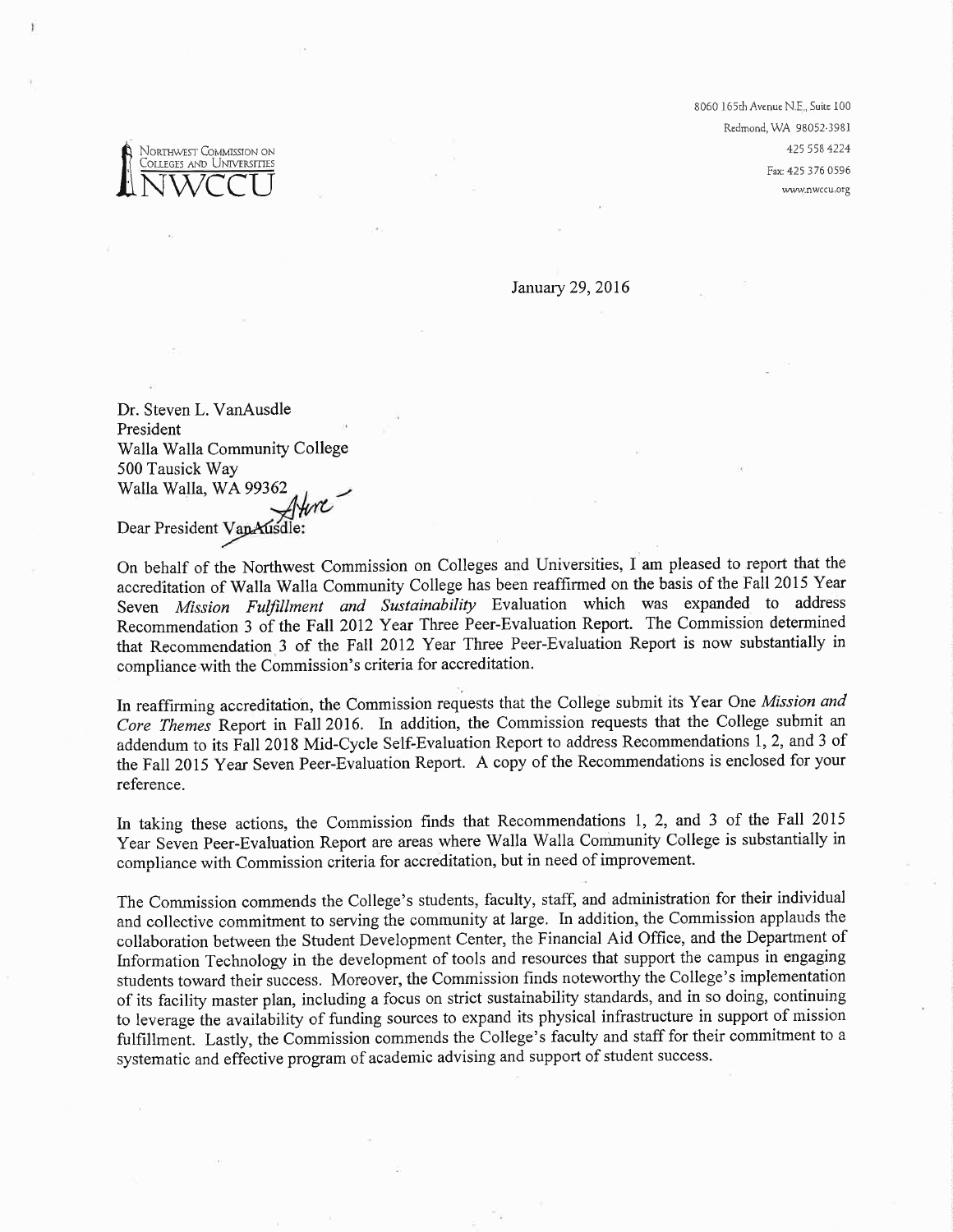Northwest Commission on Colleges and Universities 8060 165th Avenue N.E., Suite 100 Redmond, WA 98052-3981 425 558 4224 Fax: 425 376 0596 www.nwccu.org

January 29, 2016

Dr. Steven L. VanAusdle President Walla Walla Community College 500 Tausick Way Walla Walla, WA 99362

Dear President VanAusdle:

On behalf of the Northwest Commission on Colleges and Universities, I am pleased to report that the accreditation of Walla Walla Community College has been reaffirmed on the basis of the Fall 2015 Year Seven Mission Fulfillment and Sustainability Evaluation which was expanded to address Recommendation 3 of the Fall 2012 Year Three Peer-Evaluation Report. The Commission determined that Recommendation 3 of the Fall 2012 Year Three Peer-Evaluation Report is now substantially in compliance with the Commission's criteria for accreditation.

In reaffirming accreditation, the Commission requests that the College submit its Year One Mission and Core Themes Report in Fall 2016. In addition, the Commission requests that the College submit an addendum to its Fall 2018 Mid-Cycle Self-Evaluation Report to address Recommendations 1, 2, and 3 of the Fall 2015 Year Seven Peer-Evaluation Report. A copy of the Recommendations is enclosed for your reference.

In taking these actions, the Commission finds that Recommendations 1, 2, and 3 of the Fall 2015 Year Seven Peer-Evaluation Report are areas where Walla Walla Community College is substantially in compliance with Commission criteria for accreditation, but in need of improvement.

The Commission commends the College's students, faculty, staff, and administration for their individual and collective commitment to serving the community at large. In addition, the Commission applauds the collaboration between the Student Development Center, the Financial Aid Office, and the Department of Information Technology in the development of tools and resources that support the campus in engaging students toward their success. Moreover, the Commission finds noteworthy the College's implementation of its facility master plan, including a focus on strict sustainability standards, and in so doing, continuing to leverage the availability of funding sources to expand its physical infrastructure in support of mission fulfillment. Lastly, the Commission commends the College's faculty and staff for their commitment to a systematic and effective program of academic advising and support of student success.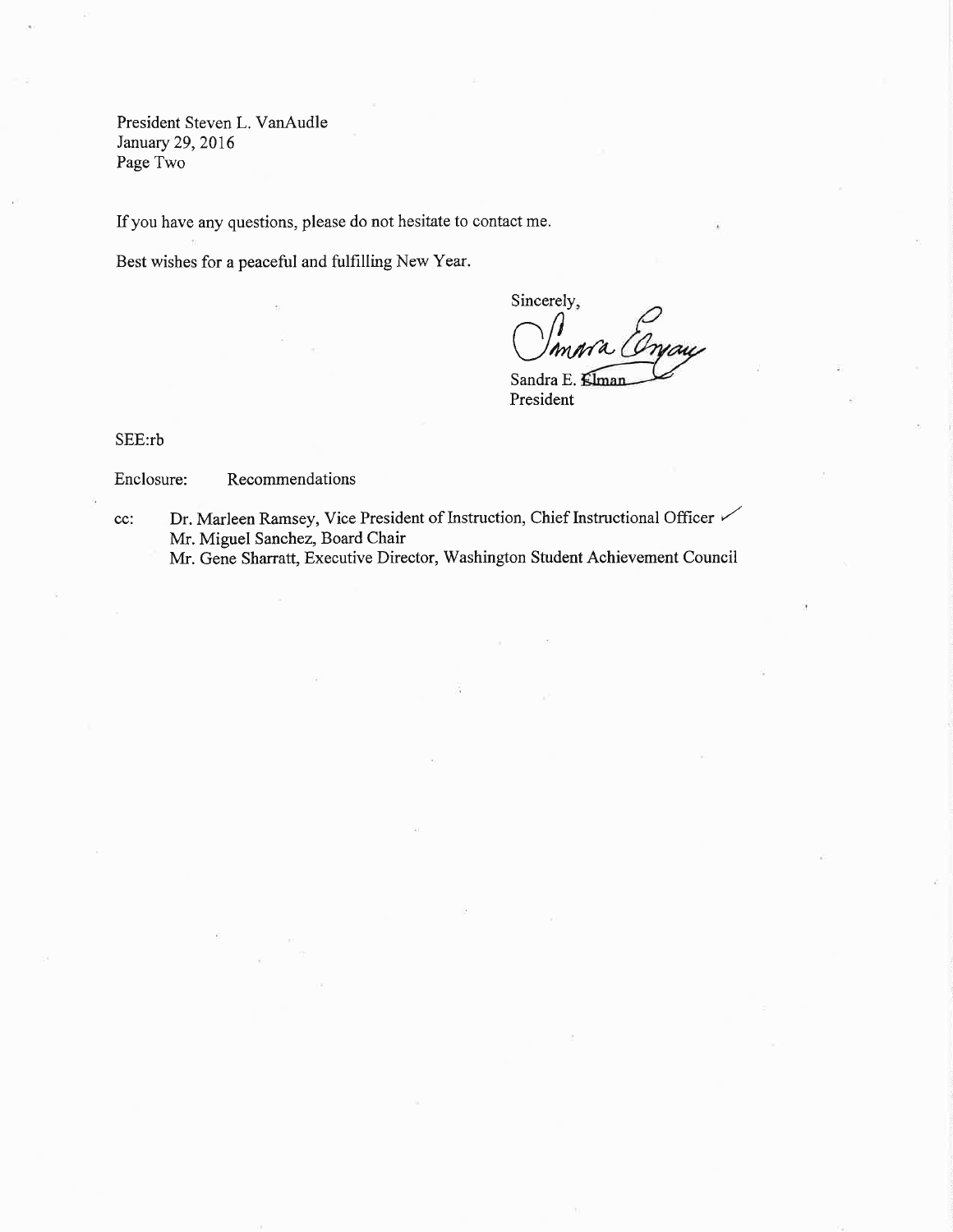President Steven L. VanAudle January 29,2016 Page Two

If you have any questions, please do not hesitate to contact me.

Best wishes for a peaceful and fulfilling New Year.

Sincerely,  $\bigcup_{m \neq n}^{\infty}$ 

Sandra E. Elman President

SEE:rb

## Enclosure: Recommendations

cc: Dr. Marleen Ramsey, Vice President of Instruction, Chief Instructional Officer Mr. Miguel Sanchez, Board Chair

Mr. Gene Sharratt, Executive Director, Washington Student Achievement Council